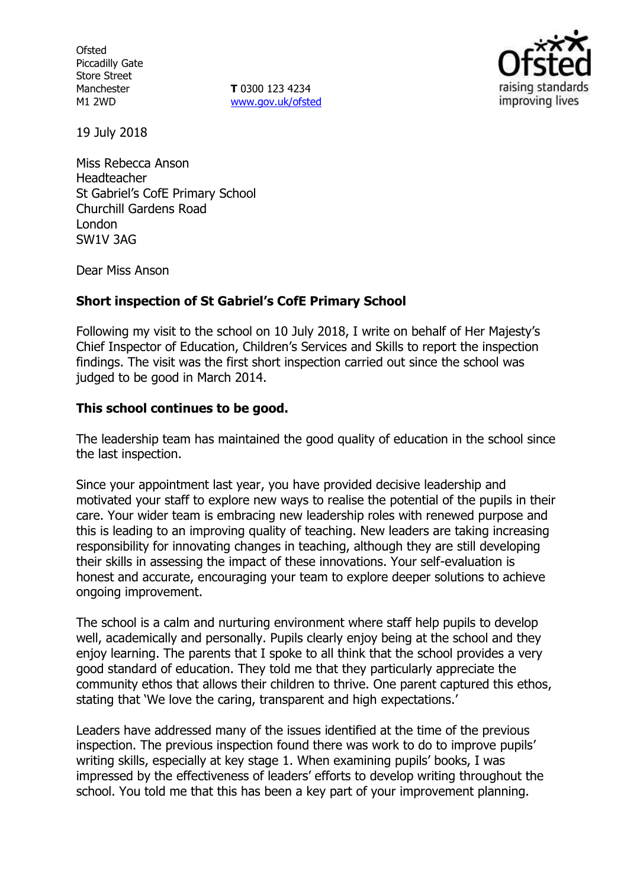**Ofsted** Piccadilly Gate Store Street Manchester M1 2WD

**T** 0300 123 4234 [www.gov.uk/ofsted](http://www.gov.uk/ofsted)



19 July 2018

Miss Rebecca Anson Headteacher St Gabriel's CofE Primary School Churchill Gardens Road London SW1V 3AG

Dear Miss Anson

## **Short inspection of St Gabriel's CofE Primary School**

Following my visit to the school on 10 July 2018, I write on behalf of Her Majesty's Chief Inspector of Education, Children's Services and Skills to report the inspection findings. The visit was the first short inspection carried out since the school was judged to be good in March 2014.

## **This school continues to be good.**

The leadership team has maintained the good quality of education in the school since the last inspection.

Since your appointment last year, you have provided decisive leadership and motivated your staff to explore new ways to realise the potential of the pupils in their care. Your wider team is embracing new leadership roles with renewed purpose and this is leading to an improving quality of teaching. New leaders are taking increasing responsibility for innovating changes in teaching, although they are still developing their skills in assessing the impact of these innovations. Your self-evaluation is honest and accurate, encouraging your team to explore deeper solutions to achieve ongoing improvement.

The school is a calm and nurturing environment where staff help pupils to develop well, academically and personally. Pupils clearly enjoy being at the school and they enjoy learning. The parents that I spoke to all think that the school provides a very good standard of education. They told me that they particularly appreciate the community ethos that allows their children to thrive. One parent captured this ethos, stating that 'We love the caring, transparent and high expectations.'

Leaders have addressed many of the issues identified at the time of the previous inspection. The previous inspection found there was work to do to improve pupils' writing skills, especially at key stage 1. When examining pupils' books, I was impressed by the effectiveness of leaders' efforts to develop writing throughout the school. You told me that this has been a key part of your improvement planning.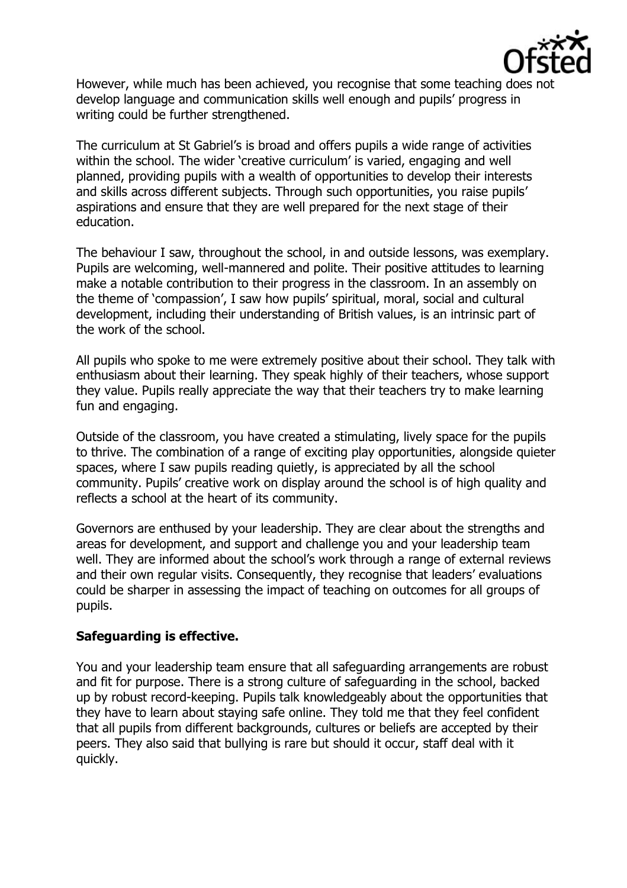

However, while much has been achieved, you recognise that some teaching does no develop language and communication skills well enough and pupils' progress in writing could be further strengthened.

The curriculum at St Gabriel's is broad and offers pupils a wide range of activities within the school. The wider 'creative curriculum' is varied, engaging and well planned, providing pupils with a wealth of opportunities to develop their interests and skills across different subjects. Through such opportunities, you raise pupils' aspirations and ensure that they are well prepared for the next stage of their education.

The behaviour I saw, throughout the school, in and outside lessons, was exemplary. Pupils are welcoming, well-mannered and polite. Their positive attitudes to learning make a notable contribution to their progress in the classroom. In an assembly on the theme of 'compassion', I saw how pupils' spiritual, moral, social and cultural development, including their understanding of British values, is an intrinsic part of the work of the school.

All pupils who spoke to me were extremely positive about their school. They talk with enthusiasm about their learning. They speak highly of their teachers, whose support they value. Pupils really appreciate the way that their teachers try to make learning fun and engaging.

Outside of the classroom, you have created a stimulating, lively space for the pupils to thrive. The combination of a range of exciting play opportunities, alongside quieter spaces, where I saw pupils reading quietly, is appreciated by all the school community. Pupils' creative work on display around the school is of high quality and reflects a school at the heart of its community.

Governors are enthused by your leadership. They are clear about the strengths and areas for development, and support and challenge you and your leadership team well. They are informed about the school's work through a range of external reviews and their own regular visits. Consequently, they recognise that leaders' evaluations could be sharper in assessing the impact of teaching on outcomes for all groups of pupils.

## **Safeguarding is effective.**

You and your leadership team ensure that all safeguarding arrangements are robust and fit for purpose. There is a strong culture of safeguarding in the school, backed up by robust record-keeping. Pupils talk knowledgeably about the opportunities that they have to learn about staying safe online. They told me that they feel confident that all pupils from different backgrounds, cultures or beliefs are accepted by their peers. They also said that bullying is rare but should it occur, staff deal with it quickly.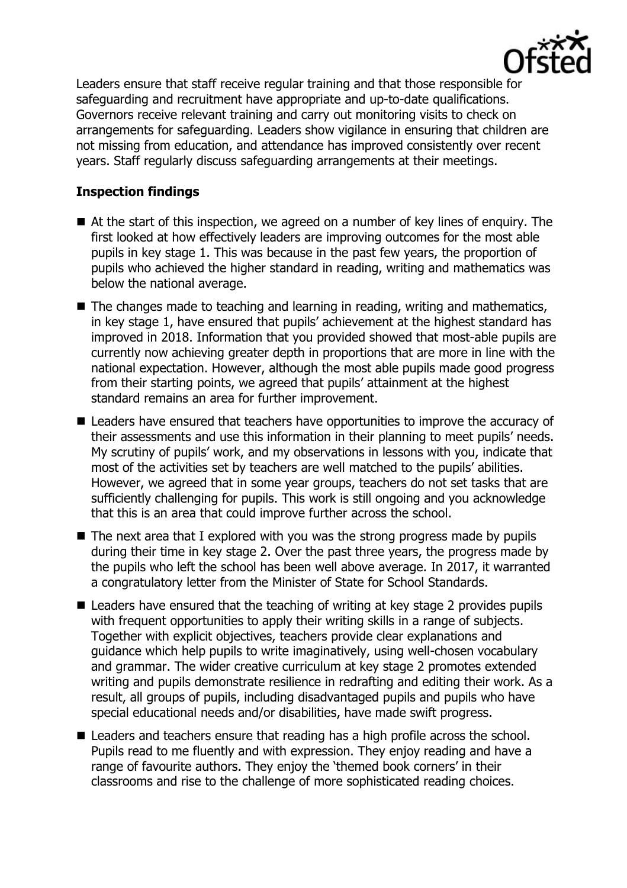

Leaders ensure that staff receive regular training and that those responsible for safeguarding and recruitment have appropriate and up-to-date qualifications. Governors receive relevant training and carry out monitoring visits to check on arrangements for safeguarding. Leaders show vigilance in ensuring that children are not missing from education, and attendance has improved consistently over recent years. Staff regularly discuss safeguarding arrangements at their meetings.

# **Inspection findings**

- At the start of this inspection, we agreed on a number of key lines of enquiry. The first looked at how effectively leaders are improving outcomes for the most able pupils in key stage 1. This was because in the past few years, the proportion of pupils who achieved the higher standard in reading, writing and mathematics was below the national average.
- The changes made to teaching and learning in reading, writing and mathematics, in key stage 1, have ensured that pupils' achievement at the highest standard has improved in 2018. Information that you provided showed that most-able pupils are currently now achieving greater depth in proportions that are more in line with the national expectation. However, although the most able pupils made good progress from their starting points, we agreed that pupils' attainment at the highest standard remains an area for further improvement.
- Leaders have ensured that teachers have opportunities to improve the accuracy of their assessments and use this information in their planning to meet pupils' needs. My scrutiny of pupils' work, and my observations in lessons with you, indicate that most of the activities set by teachers are well matched to the pupils' abilities. However, we agreed that in some year groups, teachers do not set tasks that are sufficiently challenging for pupils. This work is still ongoing and you acknowledge that this is an area that could improve further across the school.
- $\blacksquare$  The next area that I explored with you was the strong progress made by pupils during their time in key stage 2. Over the past three years, the progress made by the pupils who left the school has been well above average. In 2017, it warranted a congratulatory letter from the Minister of State for School Standards.
- Leaders have ensured that the teaching of writing at key stage 2 provides pupils with frequent opportunities to apply their writing skills in a range of subjects. Together with explicit objectives, teachers provide clear explanations and guidance which help pupils to write imaginatively, using well-chosen vocabulary and grammar. The wider creative curriculum at key stage 2 promotes extended writing and pupils demonstrate resilience in redrafting and editing their work. As a result, all groups of pupils, including disadvantaged pupils and pupils who have special educational needs and/or disabilities, have made swift progress.
- Leaders and teachers ensure that reading has a high profile across the school. Pupils read to me fluently and with expression. They enjoy reading and have a range of favourite authors. They enjoy the 'themed book corners' in their classrooms and rise to the challenge of more sophisticated reading choices.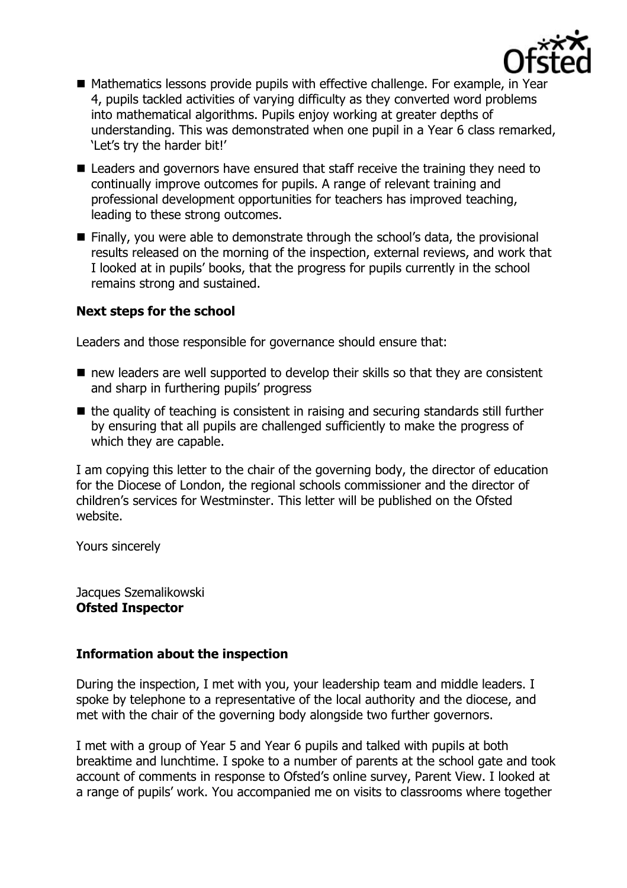

- Mathematics lessons provide pupils with effective challenge. For example, in Year 4, pupils tackled activities of varying difficulty as they converted word problems into mathematical algorithms. Pupils enjoy working at greater depths of understanding. This was demonstrated when one pupil in a Year 6 class remarked, 'Let's try the harder bit!'
- Leaders and governors have ensured that staff receive the training they need to continually improve outcomes for pupils. A range of relevant training and professional development opportunities for teachers has improved teaching, leading to these strong outcomes.
- Finally, you were able to demonstrate through the school's data, the provisional results released on the morning of the inspection, external reviews, and work that I looked at in pupils' books, that the progress for pupils currently in the school remains strong and sustained.

#### **Next steps for the school**

Leaders and those responsible for governance should ensure that:

- $\blacksquare$  new leaders are well supported to develop their skills so that they are consistent and sharp in furthering pupils' progress
- $\blacksquare$  the quality of teaching is consistent in raising and securing standards still further by ensuring that all pupils are challenged sufficiently to make the progress of which they are capable.

I am copying this letter to the chair of the governing body, the director of education for the Diocese of London, the regional schools commissioner and the director of children's services for Westminster. This letter will be published on the Ofsted website.

Yours sincerely

Jacques Szemalikowski **Ofsted Inspector**

## **Information about the inspection**

During the inspection, I met with you, your leadership team and middle leaders. I spoke by telephone to a representative of the local authority and the diocese, and met with the chair of the governing body alongside two further governors.

I met with a group of Year 5 and Year 6 pupils and talked with pupils at both breaktime and lunchtime. I spoke to a number of parents at the school gate and took account of comments in response to Ofsted's online survey, Parent View. I looked at a range of pupils' work. You accompanied me on visits to classrooms where together